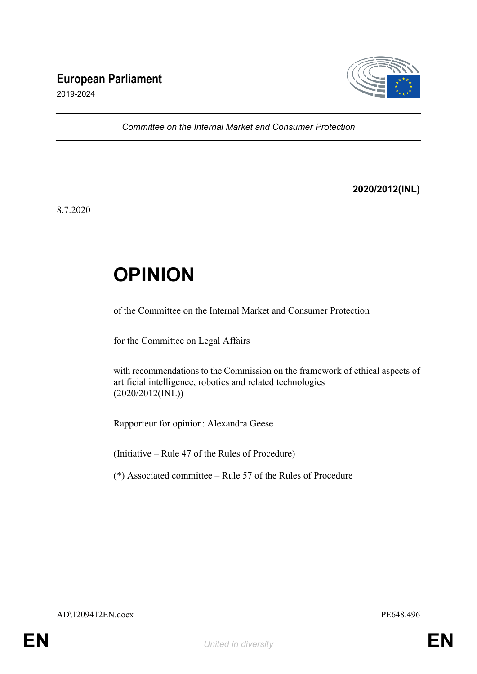# **European Parliament**



2019-2024

*Committee on the Internal Market and Consumer Protection*

**2020/2012(INL)**

8.7.2020

# **OPINION**

of the Committee on the Internal Market and Consumer Protection

for the Committee on Legal Affairs

with recommendations to the Commission on the framework of ethical aspects of artificial intelligence, robotics and related technologies (2020/2012(INL))

Rapporteur for opinion: Alexandra Geese

(Initiative – Rule 47 of the Rules of Procedure)

(\*) Associated committee – Rule 57 of the Rules of Procedure

AD\1209412EN.docx PE648.496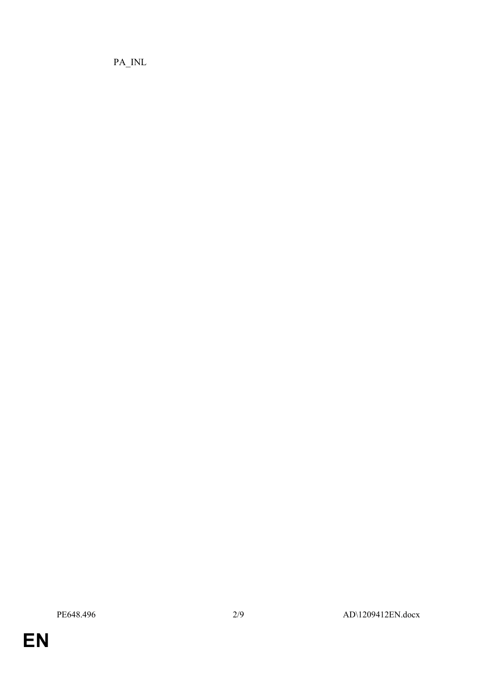PA\_INL

**EN**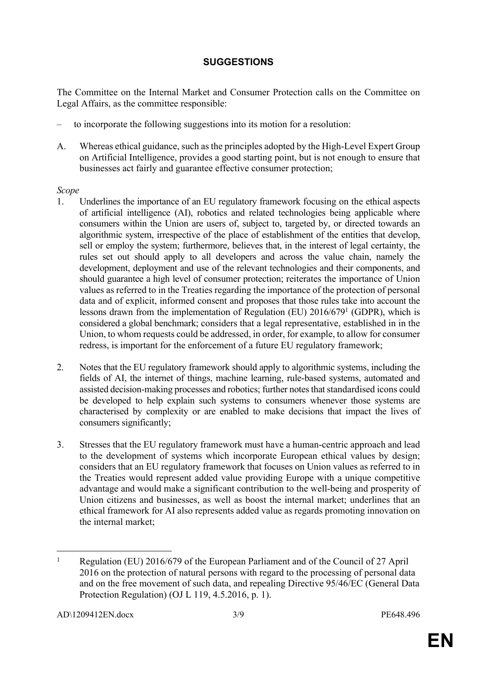## **SUGGESTIONS**

The Committee on the Internal Market and Consumer Protection calls on the Committee on Legal Affairs, as the committee responsible:

- to incorporate the following suggestions into its motion for a resolution:
- A. Whereas ethical guidance, such as the principles adopted by the High-Level Expert Group on Artificial Intelligence, provides a good starting point, but is not enough to ensure that businesses act fairly and guarantee effective consumer protection;

#### *Scope*

- 1. Underlines the importance of an EU regulatory framework focusing on the ethical aspects of artificial intelligence (AI), robotics and related technologies being applicable where consumers within the Union are users of, subject to, targeted by, or directed towards an algorithmic system, irrespective of the place of establishment of the entities that develop, sell or employ the system; furthermore, believes that, in the interest of legal certainty, the rules set out should apply to all developers and across the value chain, namely the development, deployment and use of the relevant technologies and their components, and should guarantee a high level of consumer protection; reiterates the importance of Union values as referred to in the Treaties regarding the importance of the protection of personal data and of explicit, informed consent and proposes that those rules take into account the lessons drawn from the implementation of Regulation (EU) 2016/679<sup>1</sup> (GDPR), which is considered a global benchmark; considers that a legal representative, established in in the Union, to whom requests could be addressed, in order, for example, to allow for consumer redress, is important for the enforcement of a future EU regulatory framework;
- 2. Notes that the EU regulatory framework should apply to algorithmic systems, including the fields of AI, the internet of things, machine learning, rule-based systems, automated and assisted decision-making processes and robotics; further notes that standardised icons could be developed to help explain such systems to consumers whenever those systems are characterised by complexity or are enabled to make decisions that impact the lives of consumers significantly;
- 3. Stresses that the EU regulatory framework must have a human-centric approach and lead to the development of systems which incorporate European ethical values by design; considers that an EU regulatory framework that focuses on Union values as referred to in the Treaties would represent added value providing Europe with a unique competitive advantage and would make a significant contribution to the well-being and prosperity of Union citizens and businesses, as well as boost the internal market; underlines that an ethical framework for AI also represents added value as regards promoting innovation on the internal market;

<sup>1</sup> Regulation (EU) 2016/679 of the European Parliament and of the Council of 27 April 2016 on the protection of natural persons with regard to the processing of personal data and on the free movement of such data, and repealing Directive 95/46/EC (General Data Protection Regulation) (OJ L 119, 4.5.2016, p. 1).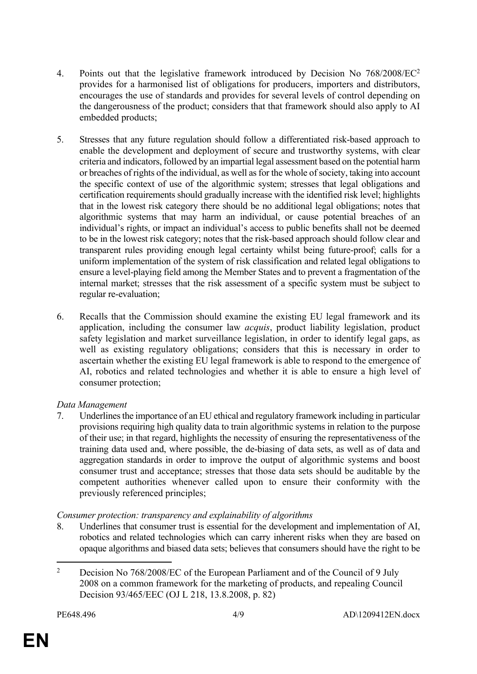- 4. Points out that the legislative framework introduced by Decision No 768/2008/EC<sup>2</sup> provides for a harmonised list of obligations for producers, importers and distributors, encourages the use of standards and provides for several levels of control depending on the dangerousness of the product; considers that that framework should also apply to AI embedded products;
- 5. Stresses that any future regulation should follow a differentiated risk-based approach to enable the development and deployment of secure and trustworthy systems, with clear criteria and indicators, followed by an impartial legal assessment based on the potential harm or breaches of rights of the individual, as well as for the whole of society, taking into account the specific context of use of the algorithmic system; stresses that legal obligations and certification requirements should gradually increase with the identified risk level; highlights that in the lowest risk category there should be no additional legal obligations; notes that algorithmic systems that may harm an individual, or cause potential breaches of an individual's rights, or impact an individual's access to public benefits shall not be deemed to be in the lowest risk category; notes that the risk-based approach should follow clear and transparent rules providing enough legal certainty whilst being future-proof; calls for a uniform implementation of the system of risk classification and related legal obligations to ensure a level-playing field among the Member States and to prevent a fragmentation of the internal market; stresses that the risk assessment of a specific system must be subject to regular re-evaluation;
- 6. Recalls that the Commission should examine the existing EU legal framework and its application, including the consumer law *acquis*, product liability legislation, product safety legislation and market surveillance legislation, in order to identify legal gaps, as well as existing regulatory obligations; considers that this is necessary in order to ascertain whether the existing EU legal framework is able to respond to the emergence of AI, robotics and related technologies and whether it is able to ensure a high level of consumer protection;

#### *Data Management*

7. Underlines the importance of an EU ethical and regulatory framework including in particular provisions requiring high quality data to train algorithmic systems in relation to the purpose of their use; in that regard, highlights the necessity of ensuring the representativeness of the training data used and, where possible, the de-biasing of data sets, as well as of data and aggregation standards in order to improve the output of algorithmic systems and boost consumer trust and acceptance; stresses that those data sets should be auditable by the competent authorities whenever called upon to ensure their conformity with the previously referenced principles;

#### *Consumer protection: transparency and explainability of algorithms*

8. Underlines that consumer trust is essential for the development and implementation of AI, robotics and related technologies which can carry inherent risks when they are based on opaque algorithms and biased data sets; believes that consumers should have the right to be

<sup>2</sup> Decision No 768/2008/EC of the European Parliament and of the Council of 9 July 2008 on a common framework for the marketing of products, and repealing Council Decision 93/465/EEC (OJ L 218, 13.8.2008, p. 82)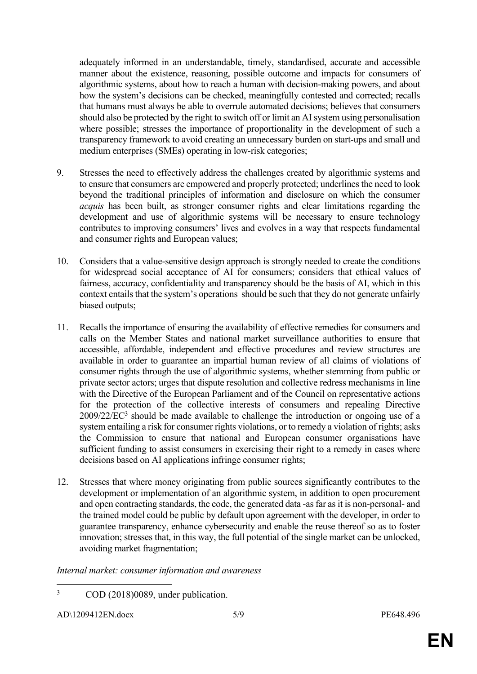adequately informed in an understandable, timely, standardised, accurate and accessible manner about the existence, reasoning, possible outcome and impacts for consumers of algorithmic systems, about how to reach a human with decision-making powers, and about how the system's decisions can be checked, meaningfully contested and corrected; recalls that humans must always be able to overrule automated decisions; believes that consumers should also be protected by the right to switch off or limit an AI system using personalisation where possible; stresses the importance of proportionality in the development of such a transparency framework to avoid creating an unnecessary burden on start-ups and small and medium enterprises (SMEs) operating in low-risk categories;

- 9. Stresses the need to effectively address the challenges created by algorithmic systems and to ensure that consumers are empowered and properly protected; underlines the need to look beyond the traditional principles of information and disclosure on which the consumer *acquis* has been built, as stronger consumer rights and clear limitations regarding the development and use of algorithmic systems will be necessary to ensure technology contributes to improving consumers' lives and evolves in a way that respects fundamental and consumer rights and European values;
- 10. Considers that a value-sensitive design approach is strongly needed to create the conditions for widespread social acceptance of AI for consumers; considers that ethical values of fairness, accuracy, confidentiality and transparency should be the basis of AI, which in this context entails that the system's operations should be such that they do not generate unfairly biased outputs;
- 11. Recalls the importance of ensuring the availability of effective remedies for consumers and calls on the Member States and national market surveillance authorities to ensure that accessible, affordable, independent and effective procedures and review structures are available in order to guarantee an impartial human review of all claims of violations of consumer rights through the use of algorithmic systems, whether stemming from public or private sector actors; urges that dispute resolution and collective redress mechanisms in line with the Directive of the European Parliament and of the Council on representative actions for the protection of the collective interests of consumers and repealing Directive  $2009/22/EC^3$  should be made available to challenge the introduction or ongoing use of a system entailing a risk for consumer rights violations, or to remedy a violation of rights; asks the Commission to ensure that national and European consumer organisations have sufficient funding to assist consumers in exercising their right to a remedy in cases where decisions based on AI applications infringe consumer rights;
- 12. Stresses that where money originating from public sources significantly contributes to the development or implementation of an algorithmic system, in addition to open procurement and open contracting standards, the code, the generated data -as far as it is non-personal- and the trained model could be public by default upon agreement with the developer, in order to guarantee transparency, enhance cybersecurity and enable the reuse thereof so as to foster innovation; stresses that, in this way, the full potential of the single market can be unlocked, avoiding market fragmentation;

#### *Internal market: consumer information and awareness*

<sup>3</sup> COD (2018)0089, under publication.

AD\1209412EN.docx 5/9 PE648.496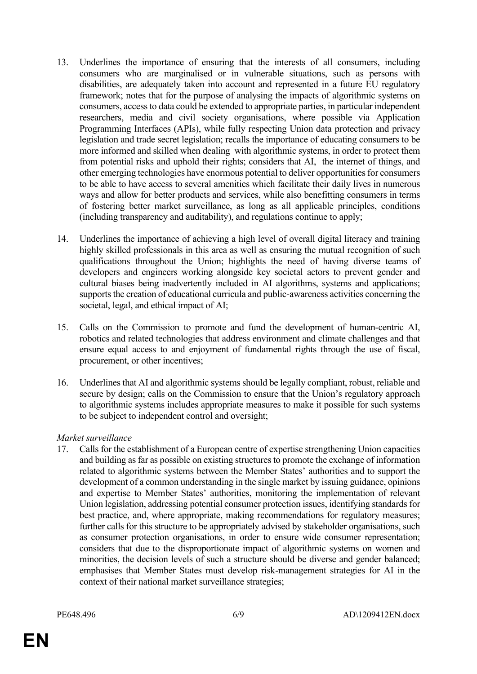- 13. Underlines the importance of ensuring that the interests of all consumers, including consumers who are marginalised or in vulnerable situations, such as persons with disabilities, are adequately taken into account and represented in a future EU regulatory framework; notes that for the purpose of analysing the impacts of algorithmic systems on consumers, access to data could be extended to appropriate parties, in particular independent researchers, media and civil society organisations, where possible via Application Programming Interfaces (APIs), while fully respecting Union data protection and privacy legislation and trade secret legislation; recalls the importance of educating consumers to be more informed and skilled when dealing with algorithmic systems, in order to protect them from potential risks and uphold their rights; considers that AI, the internet of things, and other emerging technologies have enormous potential to deliver opportunities for consumers to be able to have access to several amenities which facilitate their daily lives in numerous ways and allow for better products and services, while also benefitting consumers in terms of fostering better market surveillance, as long as all applicable principles, conditions (including transparency and auditability), and regulations continue to apply;
- 14. Underlines the importance of achieving a high level of overall digital literacy and training highly skilled professionals in this area as well as ensuring the mutual recognition of such qualifications throughout the Union; highlights the need of having diverse teams of developers and engineers working alongside key societal actors to prevent gender and cultural biases being inadvertently included in AI algorithms, systems and applications; supports the creation of educational curricula and public-awareness activities concerning the societal, legal, and ethical impact of AI;
- 15. Calls on the Commission to promote and fund the development of human-centric AI, robotics and related technologies that address environment and climate challenges and that ensure equal access to and enjoyment of fundamental rights through the use of fiscal, procurement, or other incentives;
- 16. Underlines that AI and algorithmic systems should be legally compliant, robust, reliable and secure by design; calls on the Commission to ensure that the Union's regulatory approach to algorithmic systems includes appropriate measures to make it possible for such systems to be subject to independent control and oversight;

#### *Market surveillance*

17. Calls for the establishment of a European centre of expertise strengthening Union capacities and building as far as possible on existing structures to promote the exchange of information related to algorithmic systems between the Member States' authorities and to support the development of a common understanding in the single market by issuing guidance, opinions and expertise to Member States' authorities, monitoring the implementation of relevant Union legislation, addressing potential consumer protection issues, identifying standards for best practice, and, where appropriate, making recommendations for regulatory measures; further calls for this structure to be appropriately advised by stakeholder organisations, such as consumer protection organisations, in order to ensure wide consumer representation; considers that due to the disproportionate impact of algorithmic systems on women and minorities, the decision levels of such a structure should be diverse and gender balanced; emphasises that Member States must develop risk-management strategies for AI in the context of their national market surveillance strategies;

**EN**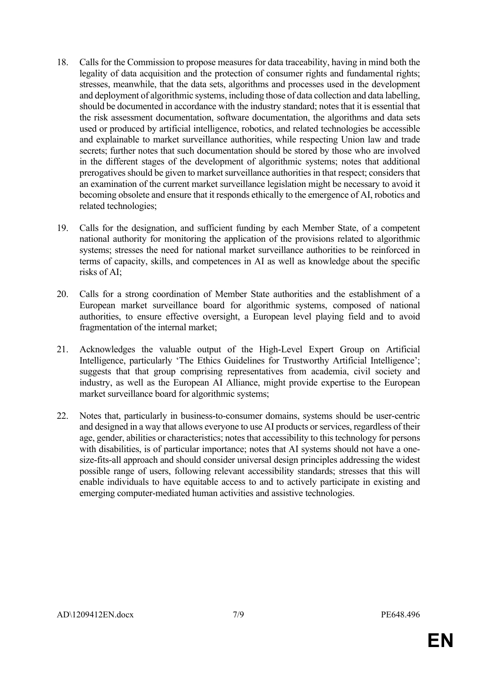- 18. Calls for the Commission to propose measures for data traceability, having in mind both the legality of data acquisition and the protection of consumer rights and fundamental rights; stresses, meanwhile, that the data sets, algorithms and processes used in the development and deployment of algorithmic systems, including those of data collection and data labelling, should be documented in accordance with the industry standard; notes that it is essential that the risk assessment documentation, software documentation, the algorithms and data sets used or produced by artificial intelligence, robotics, and related technologies be accessible and explainable to market surveillance authorities, while respecting Union law and trade secrets; further notes that such documentation should be stored by those who are involved in the different stages of the development of algorithmic systems; notes that additional prerogatives should be given to market surveillance authorities in that respect; considers that an examination of the current market surveillance legislation might be necessary to avoid it becoming obsolete and ensure that it responds ethically to the emergence of AI, robotics and related technologies;
- 19. Calls for the designation, and sufficient funding by each Member State, of a competent national authority for monitoring the application of the provisions related to algorithmic systems; stresses the need for national market surveillance authorities to be reinforced in terms of capacity, skills, and competences in AI as well as knowledge about the specific risks of AI;
- 20. Calls for a strong coordination of Member State authorities and the establishment of a European market surveillance board for algorithmic systems, composed of national authorities, to ensure effective oversight, a European level playing field and to avoid fragmentation of the internal market;
- 21. Acknowledges the valuable output of the High-Level Expert Group on Artificial Intelligence, particularly 'The Ethics Guidelines for Trustworthy Artificial Intelligence'; suggests that that group comprising representatives from academia, civil society and industry, as well as the European AI Alliance, might provide expertise to the European market surveillance board for algorithmic systems;
- 22. Notes that, particularly in business-to-consumer domains, systems should be user-centric and designed in a way that allows everyone to use AI products or services, regardless of their age, gender, abilities or characteristics; notes that accessibility to this technology for persons with disabilities, is of particular importance; notes that AI systems should not have a onesize-fits-all approach and should consider universal design principles addressing the widest possible range of users, following relevant accessibility standards; stresses that this will enable individuals to have equitable access to and to actively participate in existing and emerging computer-mediated human activities and assistive technologies.

**EN**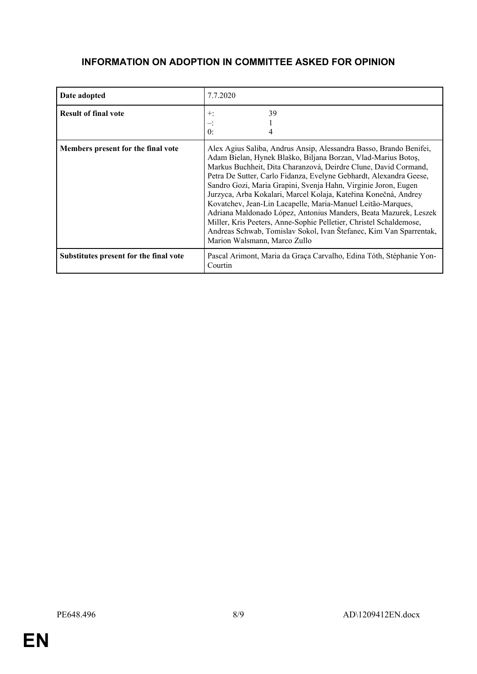# **INFORMATION ON ADOPTION IN COMMITTEE ASKED FOR OPINION**

| Date adopted                           | 7.7.2020                                                                                                                                                                                                                                                                                                                                                                                                                                                                                                                                                                                                                                                                                                                         |
|----------------------------------------|----------------------------------------------------------------------------------------------------------------------------------------------------------------------------------------------------------------------------------------------------------------------------------------------------------------------------------------------------------------------------------------------------------------------------------------------------------------------------------------------------------------------------------------------------------------------------------------------------------------------------------------------------------------------------------------------------------------------------------|
| <b>Result of final vote</b>            | 39<br>$+:$<br>$\theta$ :                                                                                                                                                                                                                                                                                                                                                                                                                                                                                                                                                                                                                                                                                                         |
| Members present for the final vote     | Alex Agius Saliba, Andrus Ansip, Alessandra Basso, Brando Benifei,<br>Adam Bielan, Hynek Blaško, Biljana Borzan, Vlad-Marius Botoș,<br>Markus Buchheit, Dita Charanzová, Deirdre Clune, David Cormand,<br>Petra De Sutter, Carlo Fidanza, Evelyne Gebhardt, Alexandra Geese,<br>Sandro Gozi, Maria Grapini, Svenja Hahn, Virginie Joron, Eugen<br>Jurzyca, Arba Kokalari, Marcel Kolaja, Kateřina Konečná, Andrey<br>Kovatchev, Jean-Lin Lacapelle, Maria-Manuel Leitão-Marques,<br>Adriana Maldonado López, Antonius Manders, Beata Mazurek, Leszek<br>Miller, Kris Peeters, Anne-Sophie Pelletier, Christel Schaldemose,<br>Andreas Schwab, Tomislav Sokol, Ivan Štefanec, Kim Van Sparrentak,<br>Marion Walsmann, Marco Zullo |
| Substitutes present for the final vote | Pascal Arimont, Maria da Graça Carvalho, Edina Tóth, Stéphanie Yon-<br>Courtin                                                                                                                                                                                                                                                                                                                                                                                                                                                                                                                                                                                                                                                   |